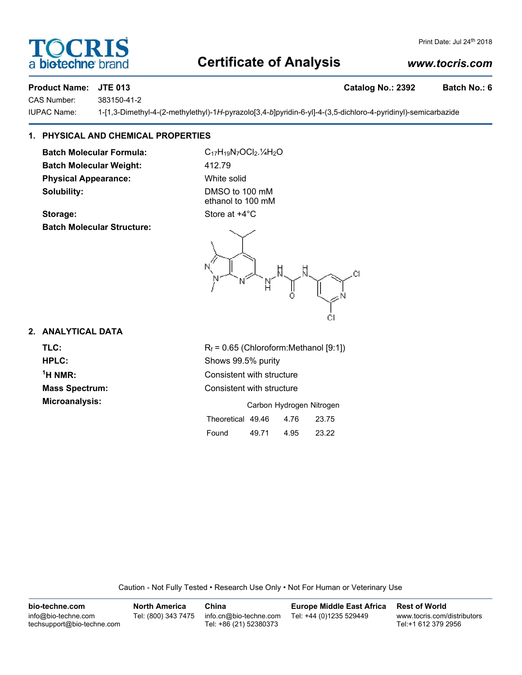# **Certificate of Analysis**

Print Date: Jul 24<sup>th</sup> 2018

### Product Name: JTE 013 **Catalog No.: 2392** Batch No.: 6

CAS Number: 383150-41-2

IUPAC Name: 1-[1,3-Dimethyl-4-(2-methylethyl)-1*H*-pyrazolo[3,4-*b*]pyridin-6-yl]-4-(3,5-dichloro-4-pyridinyl)-semicarbazide

## **1. PHYSICAL AND CHEMICAL PROPERTIES**

**Batch Molecular Formula:** C<sub>17</sub>H<sub>19</sub>N<sub>7</sub>OCl<sub>2</sub>.<sup>1</sup>/<sub>4</sub>H<sub>2</sub>O Batch Molecular Weight: 412.79 **Physical Appearance:** White solid **Solubility:** DMSO to 100 mM

**Storage:** Store at  $+4^{\circ}$ C **Batch Molecular Structure:**

ethanol to 100 mM

CI Ωl

#### **2. ANALYTICAL DATA**

 $<sup>1</sup>H NMR$ :</sup>

**TLC:**  $R_f = 0.65$  (Chloroform:Methanol [9:1]) **HPLC:** Shows 99.5% purity **Consistent with structure Mass Spectrum:** Consistent with structure **Microanalysis:** Carbon Hydrogen Nitrogen

|                   | Garbon Hydrogen Nitrogen |      |       |
|-------------------|--------------------------|------|-------|
| Theoretical 49.46 |                          | 4.76 | 23.75 |
| Found             | 49.71                    | 4.95 | 23.22 |

Caution - Not Fully Tested • Research Use Only • Not For Human or Veterinary Use

| bio-techne.com                                    | North America       | China                                            | <b>Europe Middle East Africa</b> | <b>Rest of World</b>                               |
|---------------------------------------------------|---------------------|--------------------------------------------------|----------------------------------|----------------------------------------------------|
| info@bio-techne.com<br>techsupport@bio-techne.com | Tel: (800) 343 7475 | info.cn@bio-techne.com<br>Tel: +86 (21) 52380373 | Tel: +44 (0)1235 529449          | www.tocris.com/distributors<br>Tel:+1 612 379 2956 |



*www.tocris.com*